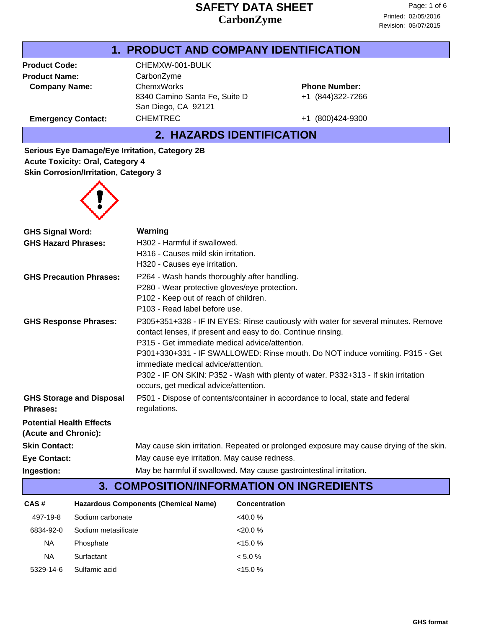## **1. PRODUCT AND COMPANY IDENTIFICATION**

**Product Name:** CarbonZyme **Company Name:** ChemxWorks

Product Code: CHEMXW-001-BULK 8340 Camino Santa Fe, Suite D San Diego, CA 92121 Emergency Contact: CHEMTREC +1 (800)424-9300

+1 (844)322-7266 **Phone Number:**

**2. HAZARDS IDENTIFICATION**

**Serious Eye Damage/Eye Irritation, Category 2B Acute Toxicity: Oral, Category 4 Skin Corrosion/Irritation, Category 3**



| <b>GHS Signal Word:</b>                            | Warning                                                                                                                                            |  |  |
|----------------------------------------------------|----------------------------------------------------------------------------------------------------------------------------------------------------|--|--|
| <b>GHS Hazard Phrases:</b>                         | H302 - Harmful if swallowed.                                                                                                                       |  |  |
|                                                    | H316 - Causes mild skin irritation.                                                                                                                |  |  |
|                                                    | H320 - Causes eye irritation.                                                                                                                      |  |  |
| <b>GHS Precaution Phrases:</b>                     | P264 - Wash hands thoroughly after handling.                                                                                                       |  |  |
|                                                    | P280 - Wear protective gloves/eye protection.                                                                                                      |  |  |
|                                                    | P102 - Keep out of reach of children.                                                                                                              |  |  |
|                                                    | P103 - Read label before use.                                                                                                                      |  |  |
| <b>GHS Response Phrases:</b>                       | P305+351+338 - IF IN EYES: Rinse cautiously with water for several minutes. Remove<br>contact lenses, if present and easy to do. Continue rinsing. |  |  |
|                                                    | P315 - Get immediate medical advice/attention.                                                                                                     |  |  |
|                                                    | P301+330+331 - IF SWALLOWED: Rinse mouth. Do NOT induce vomiting. P315 - Get                                                                       |  |  |
|                                                    | immediate medical advice/attention.                                                                                                                |  |  |
|                                                    | P302 - IF ON SKIN: P352 - Wash with plenty of water. P332+313 - If skin irritation<br>occurs, get medical advice/attention.                        |  |  |
| <b>GHS Storage and Disposal</b><br><b>Phrases:</b> | P501 - Dispose of contents/container in accordance to local, state and federal<br>regulations.                                                     |  |  |
| <b>Potential Health Effects</b>                    |                                                                                                                                                    |  |  |
| (Acute and Chronic):                               |                                                                                                                                                    |  |  |
| <b>Skin Contact:</b>                               | May cause skin irritation. Repeated or prolonged exposure may cause drying of the skin.                                                            |  |  |
| <b>Eye Contact:</b>                                | May cause eye irritation. May cause redness.                                                                                                       |  |  |
| Ingestion:                                         | May be harmful if swallowed. May cause gastrointestinal irritation.                                                                                |  |  |

# **3. COMPOSITION/INFORMATION ON INGREDIENTS**

| CAS#      | Hazardous Components (Chemical Name) | <b>Concentration</b> |
|-----------|--------------------------------------|----------------------|
| 497-19-8  | Sodium carbonate                     | $<40.0\%$            |
| 6834-92-0 | Sodium metasilicate                  | $<20.0\%$            |
| NА        | Phosphate                            | $<15.0\%$            |
| NA.       | Surfactant                           | $< 5.0 \%$           |
| 5329-14-6 | Sulfamic acid                        | $< 15.0 \%$          |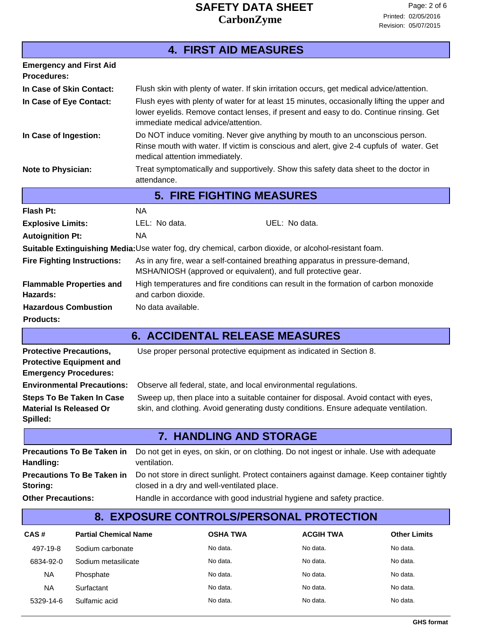**4. FIRST AID MEASURES**

#### **Emergency and First Aid Procedures:** Treat symptomatically and supportively. Show this safety data sheet to the doctor in attendance. **Note to Physician:** Flush eyes with plenty of water for at least 15 minutes, occasionally lifting the upper and lower eyelids. Remove contact lenses, if present and easy to do. Continue rinsing. Get immediate medical advice/attention. **In Case of Eye Contact: In Case of Skin Contact:** Flush skin with plenty of water. If skin irritation occurs, get medical advice/attention. Do NOT induce vomiting. Never give anything by mouth to an unconscious person. Rinse mouth with water. If victim is conscious and alert, give 2-4 cupfuls of water. Get medical attention immediately. **In Case of Ingestion: 5. FIRE FIGHTING MEASURES Flash Pt:** NA As in any fire, wear a self-contained breathing apparatus in pressure-demand, MSHA/NIOSH (approved or equivalent), and full protective gear. **Fire Fighting Instructions:** High temperatures and fire conditions can result in the formation of carbon monoxide and carbon dioxide. **Flammable Properties and Hazards: Autoignition Pt:** NA **Explosive Limits:** LEL: No data. UEL: No data. **Suitable Extinguishing Media:**Use water fog, dry chemical, carbon dioxide, or alcohol-resistant foam. **Hazardous Combustion** No data available. **Products: 6. ACCIDENTAL RELEASE MEASURES** Sweep up, then place into a suitable container for disposal. Avoid contact with eyes, skin, and clothing. Avoid generating dusty conditions. Ensure adequate ventilation. **Steps To Be Taken In Case Material Is Released Or Spilled: Protective Precautions,** Use proper personal protective equipment as indicated in Section 8. **Protective Equipment and Emergency Procedures: Environmental Precautions:** Observe all federal, state, and local environmental regulations. **7. HANDLING AND STORAGE** Do not get in eyes, on skin, or on clothing. Do not ingest or inhale. Use with adequate ventilation. **Precautions To Be Taken in Handling:**

#### Do not store in direct sunlight. Protect containers against damage. Keep container tightly closed in a dry and well-ventilated place. **Precautions To Be Taken in Storing:**

**Other Precautions:** Handle in accordance with good industrial hygiene and safety practice.

#### **8. EXPOSURE CONTROLS/PERSONAL PROTECTION**

| CAS#      | <b>Partial Chemical Name</b> | <b>OSHA TWA</b> | <b>ACGIH TWA</b> | <b>Other Limits</b> |
|-----------|------------------------------|-----------------|------------------|---------------------|
| 497-19-8  | Sodium carbonate             | No data.        | No data.         | No data.            |
| 6834-92-0 | Sodium metasilicate          | No data.        | No data.         | No data.            |
| <b>NA</b> | Phosphate                    | No data.        | No data.         | No data.            |
| <b>NA</b> | Surfactant                   | No data.        | No data.         | No data.            |
| 5329-14-6 | Sulfamic acid                | No data.        | No data.         | No data.            |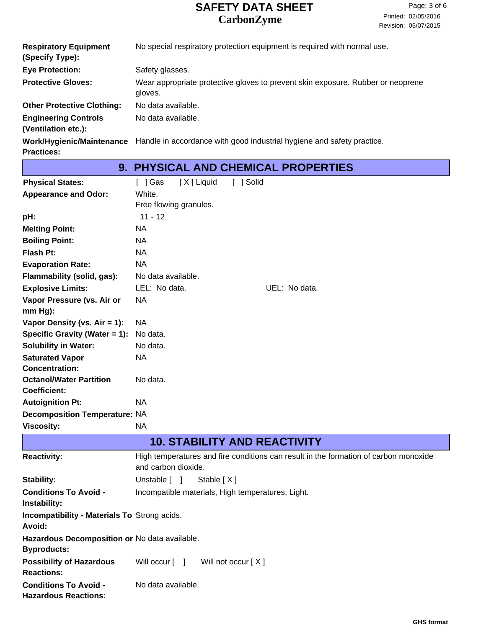|                                                    | 9. PHYSICAL AND CHEMICAL PROPERTIES                                                              |
|----------------------------------------------------|--------------------------------------------------------------------------------------------------|
| <b>Practices:</b>                                  |                                                                                                  |
|                                                    | Work/Hygienic/Maintenance Handle in accordance with good industrial hygiene and safety practice. |
| <b>Engineering Controls</b><br>(Ventilation etc.): | No data available.                                                                               |
| <b>Other Protective Clothing:</b>                  | No data available.                                                                               |
| <b>Protective Gloves:</b>                          | Wear appropriate protective gloves to prevent skin exposure. Rubber or neoprene<br>gloves.       |
| <b>Eye Protection:</b>                             | Safety glasses.                                                                                  |
| <b>Respiratory Equipment</b><br>(Specify Type):    | No special respiratory protection equipment is required with normal use.                         |

| <b>Physical States:</b>              | [X] Liquid<br>「 ]Gas   | [ ] Solid                           |  |
|--------------------------------------|------------------------|-------------------------------------|--|
| <b>Appearance and Odor:</b>          | White.                 |                                     |  |
|                                      | Free flowing granules. |                                     |  |
| pH:                                  | $11 - 12$              |                                     |  |
| <b>Melting Point:</b>                | <b>NA</b>              |                                     |  |
| <b>Boiling Point:</b>                | <b>NA</b>              |                                     |  |
| Flash Pt:                            | <b>NA</b>              |                                     |  |
| <b>Evaporation Rate:</b>             | NA.                    |                                     |  |
| Flammability (solid, gas):           | No data available.     |                                     |  |
| <b>Explosive Limits:</b>             | LEL: No data.          | UEL: No data.                       |  |
| Vapor Pressure (vs. Air or           | <b>NA</b>              |                                     |  |
| $mm Hg$ :                            |                        |                                     |  |
| Vapor Density (vs. $Air = 1$ ):      | NA.                    |                                     |  |
| Specific Gravity (Water = 1):        | No data.               |                                     |  |
| <b>Solubility in Water:</b>          | No data.               |                                     |  |
| <b>Saturated Vapor</b>               | NA                     |                                     |  |
| <b>Concentration:</b>                |                        |                                     |  |
| <b>Octanol/Water Partition</b>       | No data.               |                                     |  |
| <b>Coefficient:</b>                  |                        |                                     |  |
| <b>Autoignition Pt:</b>              | <b>NA</b>              |                                     |  |
| <b>Decomposition Temperature: NA</b> |                        |                                     |  |
| <b>Viscosity:</b>                    | <b>NA</b>              |                                     |  |
|                                      |                        | <b>10. STABILITY AND REACTIVITY</b> |  |
|                                      | $1.12 \times 10^{-4}$  |                                     |  |

| <b>Reactivity:</b>                                                  | High temperatures and fire conditions can result in the formation of carbon monoxide<br>and carbon dioxide. |
|---------------------------------------------------------------------|-------------------------------------------------------------------------------------------------------------|
| Stability:                                                          | Unstable [ ]<br>Stable $[X]$                                                                                |
| <b>Conditions To Avoid -</b><br>Instability:                        | Incompatible materials, High temperatures, Light.                                                           |
| <b>Incompatibility - Materials To Strong acids.</b><br>Avoid:       |                                                                                                             |
| Hazardous Decomposition or No data available.<br><b>Byproducts:</b> |                                                                                                             |
| <b>Possibility of Hazardous</b><br><b>Reactions:</b>                | Will occur [ ]<br>Will not occur $[X]$                                                                      |
| <b>Conditions To Avoid -</b><br><b>Hazardous Reactions:</b>         | No data available.                                                                                          |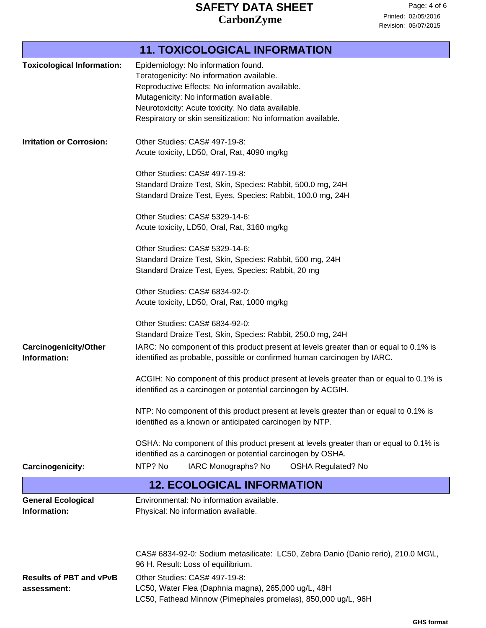|                                   | <b>11. TOXICOLOGICAL INFORMATION</b>                                                                                    |
|-----------------------------------|-------------------------------------------------------------------------------------------------------------------------|
| <b>Toxicological Information:</b> | Epidemiology: No information found.                                                                                     |
|                                   | Teratogenicity: No information available.                                                                               |
|                                   | Reproductive Effects: No information available.                                                                         |
|                                   | Mutagenicity: No information available.                                                                                 |
|                                   | Neurotoxicity: Acute toxicity. No data available.                                                                       |
|                                   | Respiratory or skin sensitization: No information available.                                                            |
| <b>Irritation or Corrosion:</b>   | Other Studies: CAS# 497-19-8:                                                                                           |
|                                   | Acute toxicity, LD50, Oral, Rat, 4090 mg/kg                                                                             |
|                                   | Other Studies: CAS# 497-19-8:                                                                                           |
|                                   | Standard Draize Test, Skin, Species: Rabbit, 500.0 mg, 24H                                                              |
|                                   | Standard Draize Test, Eyes, Species: Rabbit, 100.0 mg, 24H                                                              |
|                                   | Other Studies: CAS# 5329-14-6:                                                                                          |
|                                   | Acute toxicity, LD50, Oral, Rat, 3160 mg/kg                                                                             |
|                                   | Other Studies: CAS# 5329-14-6:                                                                                          |
|                                   | Standard Draize Test, Skin, Species: Rabbit, 500 mg, 24H                                                                |
|                                   | Standard Draize Test, Eyes, Species: Rabbit, 20 mg                                                                      |
|                                   | Other Studies: CAS# 6834-92-0:                                                                                          |
|                                   | Acute toxicity, LD50, Oral, Rat, 1000 mg/kg                                                                             |
|                                   | Other Studies: CAS# 6834-92-0:                                                                                          |
|                                   | Standard Draize Test, Skin, Species: Rabbit, 250.0 mg, 24H                                                              |
| <b>Carcinogenicity/Other</b>      | IARC: No component of this product present at levels greater than or equal to 0.1% is                                   |
| Information:                      | identified as probable, possible or confirmed human carcinogen by IARC.                                                 |
|                                   | ACGIH: No component of this product present at levels greater than or equal to 0.1% is                                  |
|                                   | identified as a carcinogen or potential carcinogen by ACGIH.                                                            |
|                                   | NTP: No component of this product present at levels greater than or equal to 0.1% is                                    |
|                                   | identified as a known or anticipated carcinogen by NTP.                                                                 |
|                                   | OSHA: No component of this product present at levels greater than or equal to 0.1% is                                   |
|                                   | identified as a carcinogen or potential carcinogen by OSHA.                                                             |
| Carcinogenicity:                  | IARC Monographs? No<br>NTP? No<br><b>OSHA Regulated? No</b>                                                             |
|                                   | <b>12. ECOLOGICAL INFORMATION</b>                                                                                       |
| <b>General Ecological</b>         | Environmental: No information available.                                                                                |
| Information:                      | Physical: No information available.                                                                                     |
|                                   |                                                                                                                         |
|                                   |                                                                                                                         |
|                                   | CAS# 6834-92-0: Sodium metasilicate: LC50, Zebra Danio (Danio rerio), 210.0 MG\L,<br>96 H. Result: Loss of equilibrium. |
| <b>Results of PBT and vPvB</b>    | Other Studies: CAS# 497-19-8:                                                                                           |
| assessment:                       | LC50, Water Flea (Daphnia magna), 265,000 ug/L, 48H                                                                     |
|                                   | LC50, Fathead Minnow (Pimephales promelas), 850,000 ug/L, 96H                                                           |
|                                   |                                                                                                                         |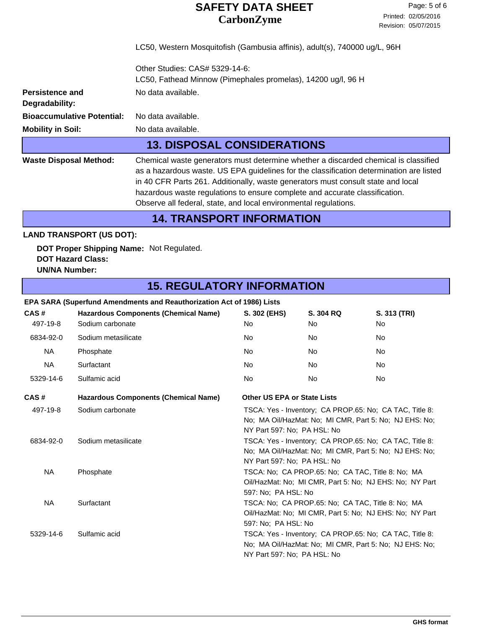LC50, Western Mosquitofish (Gambusia affinis), adult(s), 740000 ug/L, 96H

| <b>Persistence and</b><br>Degradability:<br><b>Mobility in Soil:</b>                                                                                         | <b>Bioaccumulative Potential:</b>       | Other Studies: CAS# 5329-14-6:<br>LC50, Fathead Minnow (Pimephales promelas), 14200 ug/l, 96 H<br>No data available.<br>No data available.<br>No data available.<br><b>13. DISPOSAL CONSIDERATIONS</b>                                                                                                                                                                                                                |                                                                                                                                                                                                                                                                       |                    |    |
|--------------------------------------------------------------------------------------------------------------------------------------------------------------|-----------------------------------------|-----------------------------------------------------------------------------------------------------------------------------------------------------------------------------------------------------------------------------------------------------------------------------------------------------------------------------------------------------------------------------------------------------------------------|-----------------------------------------------------------------------------------------------------------------------------------------------------------------------------------------------------------------------------------------------------------------------|--------------------|----|
| <b>Waste Disposal Method:</b>                                                                                                                                |                                         | Chemical waste generators must determine whether a discarded chemical is classified<br>as a hazardous waste. US EPA guidelines for the classification determination are listed<br>in 40 CFR Parts 261. Additionally, waste generators must consult state and local<br>hazardous waste regulations to ensure complete and accurate classification.<br>Observe all federal, state, and local environmental regulations. |                                                                                                                                                                                                                                                                       |                    |    |
|                                                                                                                                                              |                                         | <b>14. TRANSPORT INFORMATION</b>                                                                                                                                                                                                                                                                                                                                                                                      |                                                                                                                                                                                                                                                                       |                    |    |
|                                                                                                                                                              | <b>LAND TRANSPORT (US DOT):</b>         |                                                                                                                                                                                                                                                                                                                                                                                                                       |                                                                                                                                                                                                                                                                       |                    |    |
| <b>UN/NA Number:</b>                                                                                                                                         | <b>DOT Hazard Class:</b>                | DOT Proper Shipping Name: Not Regulated.                                                                                                                                                                                                                                                                                                                                                                              |                                                                                                                                                                                                                                                                       |                    |    |
|                                                                                                                                                              |                                         | <b>15. REGULATORY INFORMATION</b>                                                                                                                                                                                                                                                                                                                                                                                     |                                                                                                                                                                                                                                                                       |                    |    |
| EPA SARA (Superfund Amendments and Reauthorization Act of 1986) Lists<br>CAS#<br><b>Hazardous Components (Chemical Name)</b><br>497-19-8<br>Sodium carbonate |                                         | S. 302 (EHS)<br>No                                                                                                                                                                                                                                                                                                                                                                                                    | S. 304 RQ<br>No                                                                                                                                                                                                                                                       | S. 313 (TRI)<br>No |    |
| 6834-92-0                                                                                                                                                    | Sodium metasilicate                     |                                                                                                                                                                                                                                                                                                                                                                                                                       | No.                                                                                                                                                                                                                                                                   | No.                | No |
| NA                                                                                                                                                           | Phosphate                               |                                                                                                                                                                                                                                                                                                                                                                                                                       | No                                                                                                                                                                                                                                                                    | No.                | No |
| <b>NA</b>                                                                                                                                                    | Surfactant                              |                                                                                                                                                                                                                                                                                                                                                                                                                       | No.                                                                                                                                                                                                                                                                   | No.                | No |
| 5329-14-6                                                                                                                                                    | Sulfamic acid                           |                                                                                                                                                                                                                                                                                                                                                                                                                       | No                                                                                                                                                                                                                                                                    | No                 | No |
| CAS#                                                                                                                                                         |                                         | <b>Hazardous Components (Chemical Name)</b>                                                                                                                                                                                                                                                                                                                                                                           | <b>Other US EPA or State Lists</b>                                                                                                                                                                                                                                    |                    |    |
| 497-19-8<br>6834-92-0                                                                                                                                        | Sodium carbonate<br>Sodium metasilicate |                                                                                                                                                                                                                                                                                                                                                                                                                       | TSCA: Yes - Inventory; CA PROP.65: No; CA TAC, Title 8:<br>No; MA Oil/HazMat: No; MI CMR, Part 5: No; NJ EHS: No;<br>NY Part 597: No; PA HSL: No<br>TSCA: Yes - Inventory; CA PROP.65: No; CA TAC, Title 8:<br>No; MA Oil/HazMat: No; MI CMR, Part 5: No; NJ EHS: No; |                    |    |
| <b>NA</b>                                                                                                                                                    | Phosphate                               |                                                                                                                                                                                                                                                                                                                                                                                                                       | NY Part 597: No; PA HSL: No<br>TSCA: No; CA PROP.65: No; CA TAC, Title 8: No; MA<br>Oil/HazMat: No; MI CMR, Part 5: No; NJ EHS: No; NY Part                                                                                                                           |                    |    |
| <b>NA</b>                                                                                                                                                    | Surfactant                              |                                                                                                                                                                                                                                                                                                                                                                                                                       | 597: No; PA HSL: No<br>TSCA: No; CA PROP.65: No; CA TAC, Title 8: No; MA<br>Oil/HazMat: No; MI CMR, Part 5: No; NJ EHS: No; NY Part<br>597: No; PA HSL: No                                                                                                            |                    |    |
| Sulfamic acid<br>5329-14-6                                                                                                                                   |                                         |                                                                                                                                                                                                                                                                                                                                                                                                                       | TSCA: Yes - Inventory; CA PROP.65: No; CA TAC, Title 8:<br>No; MA Oil/HazMat: No; MI CMR, Part 5: No; NJ EHS: No;<br>NY Part 597: No; PA HSL: No                                                                                                                      |                    |    |